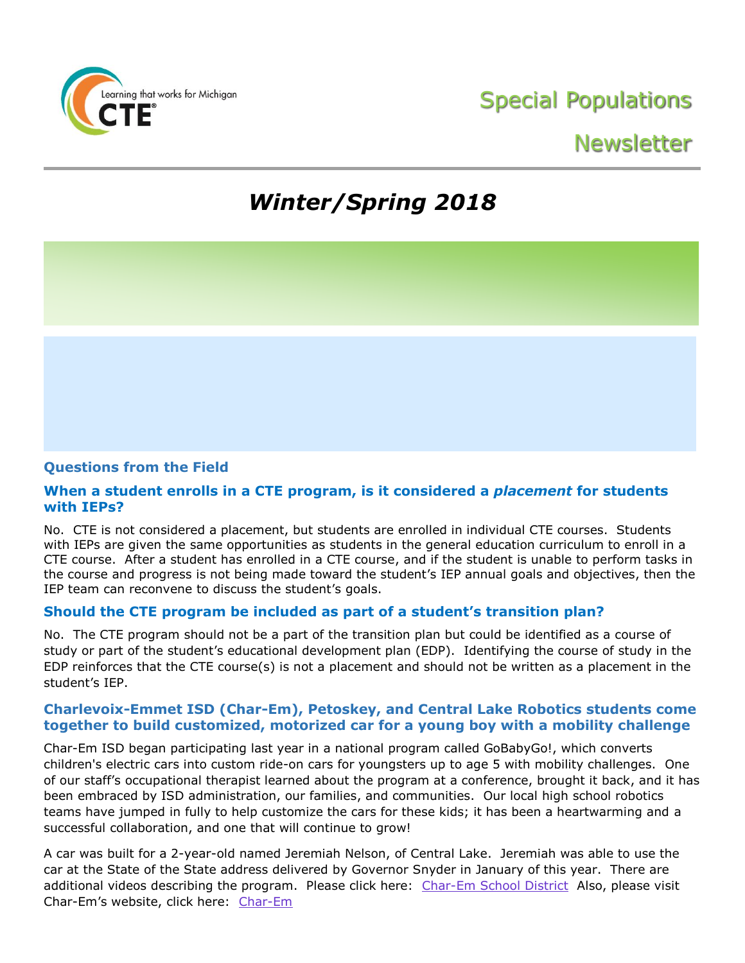

## Newsletter

# *Winter/Spring 2018*

### **Questions from the Field**

### **When a student enrolls in a CTE program, is it considered a** *placement* **for students with IEPs?**

No. CTE is not considered a placement, but students are enrolled in individual CTE courses. Students with IEPs are given the same opportunities as students in the general education curriculum to enroll in a CTE course. After a student has enrolled in a CTE course, and if the student is unable to perform tasks in the course and progress is not being made toward the student's IEP annual goals and objectives, then the IEP team can reconvene to discuss the student's goals.

### **Should the CTE program be included as part of a student's transition plan?**

No. The CTE program should not be a part of the transition plan but could be identified as a course of study or part of the student's educational development plan (EDP). Identifying the course of study in the EDP reinforces that the CTE course(s) is not a placement and should not be written as a placement in the student's IEP.

### **Charlevoix-Emmet ISD (Char-Em), Petoskey, and Central Lake Robotics students come together to build customized, motorized car for a young boy with a mobility challenge**

Char-Em ISD began participating last year in a national program called GoBabyGo!, which converts children's electric cars into custom ride-on cars for youngsters up to age 5 with mobility challenges. One of our staff's occupational therapist learned about the program at a conference, brought it back, and it has been embraced by ISD administration, our families, and communities. Our local high school robotics teams have jumped in fully to help customize the cars for these kids; it has been a heartwarming and a successful collaboration, and one that will continue to grow!

A car was built for a 2-year-old named Jeremiah Nelson, of Central Lake. Jeremiah was able to use the car at the State of the State address delivered by Governor Snyder in January of this year. There are additional videos describing the program. Please click here: [Char-Em School District](https://www.youtube.com/user/CharEmIntermediate) Also, please visit Char-Em's website, click here: [Char-Em](http://www.charemisd.org/academic/earlychildhood/gobabygo/)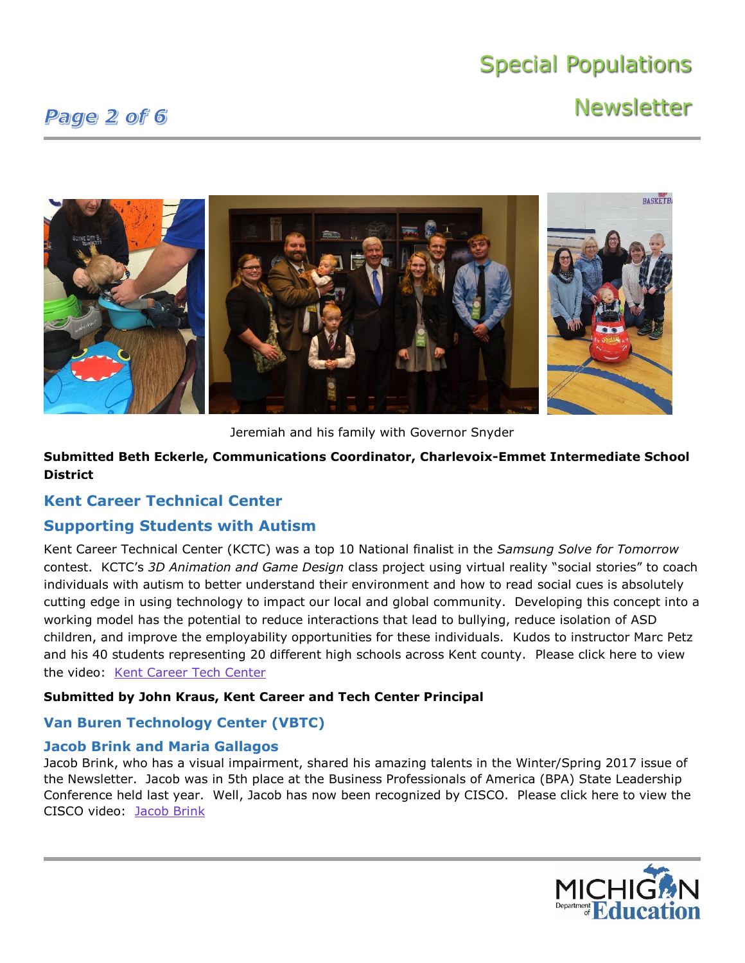## **Newsletter**

### Page 2 of 6



Jeremiah and his family with Governor Snyder

**Submitted Beth Eckerle, Communications Coordinator, Charlevoix-Emmet Intermediate School District**

### **Kent Career Technical Center**

### **Supporting Students with Autism**

Kent Career Technical Center (KCTC) was a top 10 National finalist in the *Samsung Solve for Tomorrow* contest. KCTC's *3D Animation and Game Design* class project using virtual reality "social stories" to coach individuals with autism to better understand their environment and how to read social cues is absolutely cutting edge in using technology to impact our local and global community. Developing this concept into a working model has the potential to reduce interactions that lead to bullying, reduce isolation of ASD children, and improve the employability opportunities for these individuals. Kudos to instructor Marc Petz and his 40 students representing 20 different high schools across Kent county. Please click here to view the video: [Kent Career](https://www.youtube.com/watch?v=tP5rFMsuHZk) Tech Center

### **Submitted by John Kraus, Kent Career and Tech Center Principal**

### **Van Buren Technology Center (VBTC)**

### **Jacob Brink and Maria Gallagos**

Jacob Brink, who has a visual impairment, shared his amazing talents in the Winter/Spring 2017 issue of the Newsletter. Jacob was in 5th place at the Business Professionals of America (BPA) State Leadership Conference held last year. Well, Jacob has now been recognized by CISCO. Please click here to view the CISCO video: [Jacob Brink](https://newsroom.cisco.com/video-content?type=webcontent&articleId=1893423)

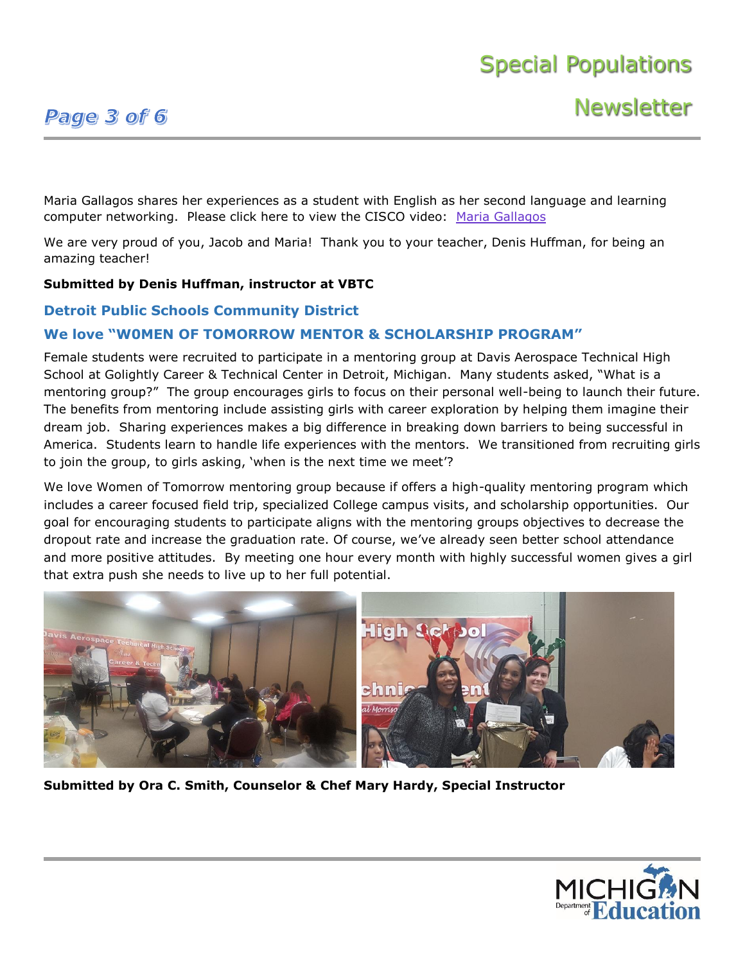## Page 3 of 6

Maria Gallagos shares her experiences as a student with English as her second language and learning computer networking. Please click here to view the CISCO video: [Maria Gallagos](https://newsroom.cisco.com/video-content?type=webcontent&articleId=1896187)

We are very proud of you, Jacob and Maria! Thank you to your teacher, Denis Huffman, for being an amazing teacher!

### **Submitted by Denis Huffman, instructor at VBTC**

### **Detroit Public Schools Community District**

### **We love "W0MEN OF TOMORROW MENTOR & SCHOLARSHIP PROGRAM"**

Female students were recruited to participate in a mentoring group at Davis Aerospace Technical High School at Golightly Career & Technical Center in Detroit, Michigan. Many students asked, "What is a mentoring group?" The group encourages girls to focus on their personal well-being to launch their future. The benefits from mentoring include assisting girls with career exploration by helping them imagine their dream job. Sharing experiences makes a big difference in breaking down barriers to being successful in America. Students learn to handle life experiences with the mentors. We transitioned from recruiting girls to join the group, to girls asking, 'when is the next time we meet'?

We love Women of Tomorrow mentoring group because if offers a high-quality mentoring program which includes a career focused field trip, specialized College campus visits, and scholarship opportunities. Our goal for encouraging students to participate aligns with the mentoring groups objectives to decrease the dropout rate and increase the graduation rate. Of course, we've already seen better school attendance and more positive attitudes. By meeting one hour every month with highly successful women gives a girl that extra push she needs to live up to her full potential.



**Submitted by Ora C. Smith, Counselor & Chef Mary Hardy, Special Instructor**

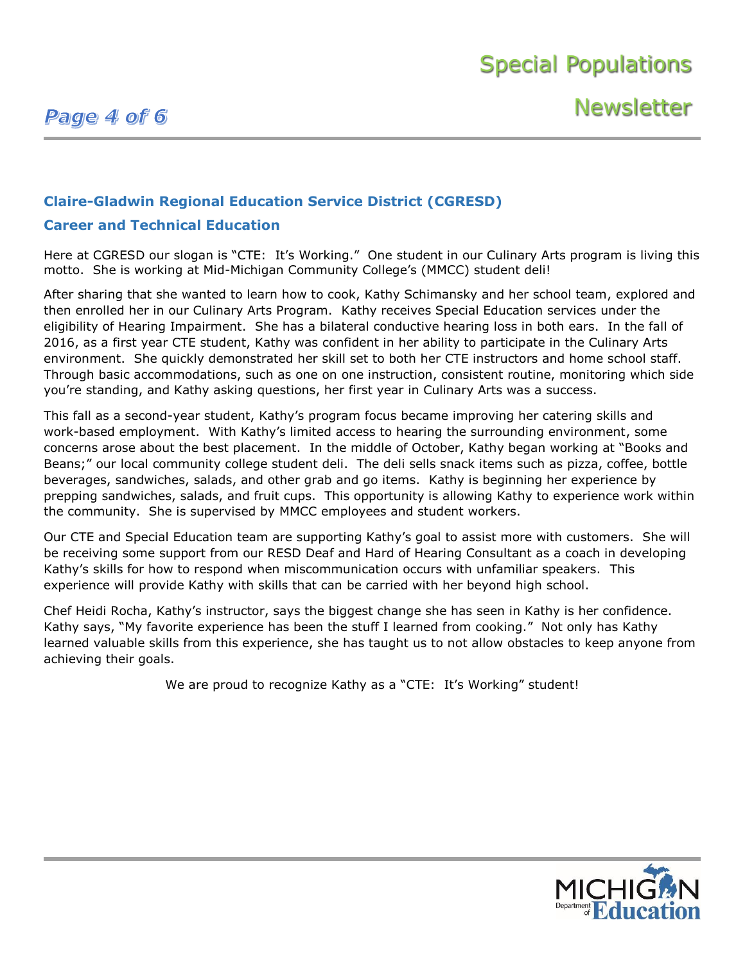## Page 4 of 6

**Newsletter** 

### **Claire-Gladwin Regional Education Service District (CGRESD)**

### **Career and Technical Education**

Here at CGRESD our slogan is "CTE: It's Working." One student in our Culinary Arts program is living this motto. She is working at Mid-Michigan Community College's (MMCC) student deli!

After sharing that she wanted to learn how to cook, Kathy Schimansky and her school team, explored and then enrolled her in our Culinary Arts Program. Kathy receives Special Education services under the eligibility of Hearing Impairment. She has a bilateral conductive hearing loss in both ears. In the fall of 2016, as a first year CTE student, Kathy was confident in her ability to participate in the Culinary Arts environment. She quickly demonstrated her skill set to both her CTE instructors and home school staff. Through basic accommodations, such as one on one instruction, consistent routine, monitoring which side you're standing, and Kathy asking questions, her first year in Culinary Arts was a success.

This fall as a second-year student, Kathy's program focus became improving her catering skills and work-based employment. With Kathy's limited access to hearing the surrounding environment, some concerns arose about the best placement. In the middle of October, Kathy began working at "Books and Beans;" our local community college student deli. The deli sells snack items such as pizza, coffee, bottle beverages, sandwiches, salads, and other grab and go items. Kathy is beginning her experience by prepping sandwiches, salads, and fruit cups. This opportunity is allowing Kathy to experience work within the community. She is supervised by MMCC employees and student workers.

Our CTE and Special Education team are supporting Kathy's goal to assist more with customers. She will be receiving some support from our RESD Deaf and Hard of Hearing Consultant as a coach in developing Kathy's skills for how to respond when miscommunication occurs with unfamiliar speakers. This experience will provide Kathy with skills that can be carried with her beyond high school.

Chef Heidi Rocha, Kathy's instructor, says the biggest change she has seen in Kathy is her confidence. Kathy says, "My favorite experience has been the stuff I learned from cooking." Not only has Kathy learned valuable skills from this experience, she has taught us to not allow obstacles to keep anyone from achieving their goals.

We are proud to recognize Kathy as a "CTE: It's Working" student!

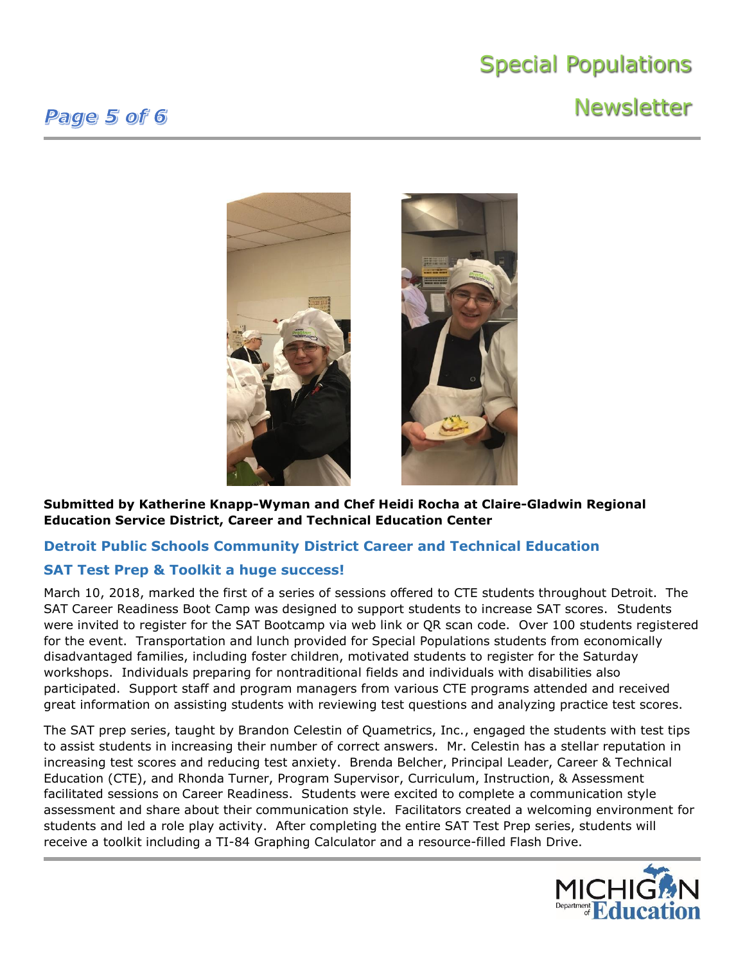## **Newsletter**



**Submitted by Katherine Knapp-Wyman and Chef Heidi Rocha at Claire-Gladwin Regional Education Service District, Career and Technical Education Center**

### **Detroit Public Schools Community District Career and Technical Education**

### **SAT Test Prep & Toolkit a huge success!**

March 10, 2018, marked the first of a series of sessions offered to CTE students throughout Detroit. The SAT Career Readiness Boot Camp was designed to support students to increase SAT scores. Students were invited to register for the SAT Bootcamp via web link or QR scan code. Over 100 students registered for the event. Transportation and lunch provided for Special Populations students from economically disadvantaged families, including foster children, motivated students to register for the Saturday workshops. Individuals preparing for nontraditional fields and individuals with disabilities also participated. Support staff and program managers from various CTE programs attended and received great information on assisting students with reviewing test questions and analyzing practice test scores.

The SAT prep series, taught by Brandon Celestin of Quametrics, Inc., engaged the students with test tips to assist students in increasing their number of correct answers. Mr. Celestin has a stellar reputation in increasing test scores and reducing test anxiety. Brenda Belcher, Principal Leader, Career & Technical Education (CTE), and Rhonda Turner, Program Supervisor, Curriculum, Instruction, & Assessment facilitated sessions on Career Readiness. Students were excited to complete a communication style assessment and share about their communication style. Facilitators created a welcoming environment for students and led a role play activity. After completing the entire SAT Test Prep series, students will receive a toolkit including a TI-84 Graphing Calculator and a resource-filled Flash Drive.